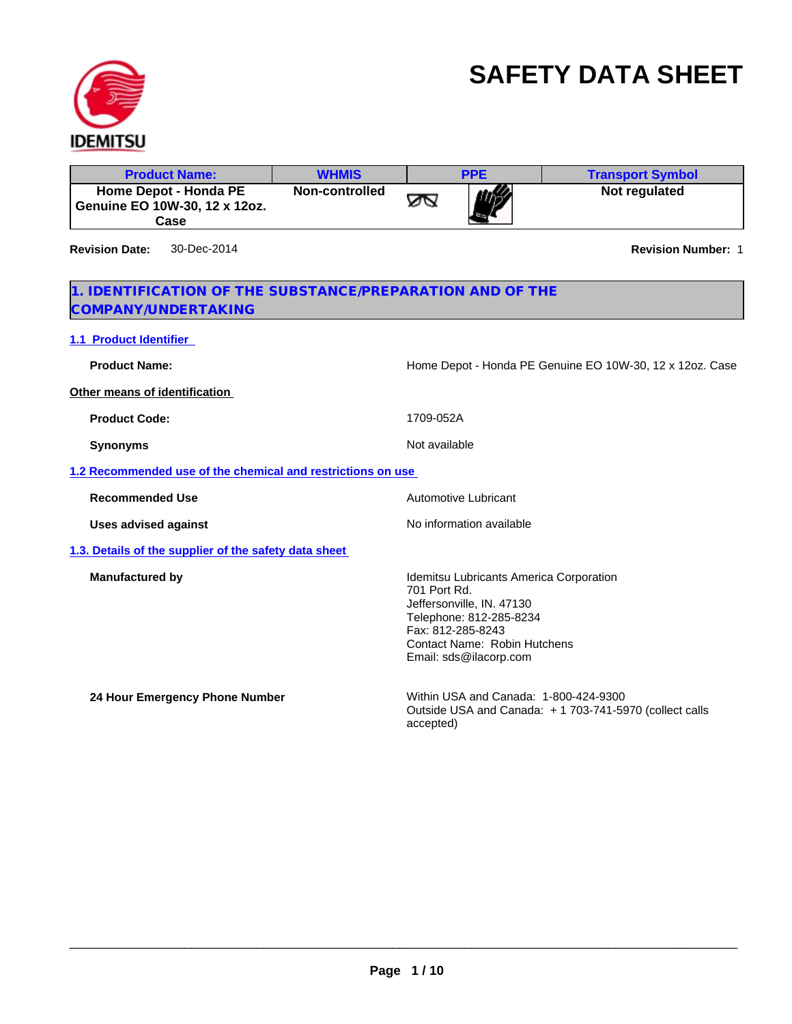

# **SAFETY DATA SHEET**

| Non-controlled<br>Not regulated<br><b>Home Depot - Honda PE</b><br>∞<br>Genuine EO 10W-30, 12 x 12oz.<br>Case<br><b>Revision Date:</b><br>30-Dec-2014<br>1. IDENTIFICATION OF THE SUBSTANCE/PREPARATION AND OF THE<br>COMPANY/UNDERTAKING<br><b>1.1 Product Identifier</b><br><b>Product Name:</b><br>Home Depot - Honda PE Genuine EO 10W-30, 12 x 12oz. Case<br>Other means of identification<br>1709-052A<br><b>Product Code:</b><br>Not available<br><b>Synonyms</b><br>1.2 Recommended use of the chemical and restrictions on use<br>Automotive Lubricant<br><b>Recommended Use</b><br>No information available<br><b>Uses advised against</b><br>1.3. Details of the supplier of the safety data sheet<br><b>Manufactured by</b><br>Idemitsu Lubricants America Corporation<br>701 Port Rd.<br>Jeffersonville, IN. 47130<br>Telephone: 812-285-8234<br>Fax: 812-285-8243 | <b>Product Name:</b> | <b>WHMIS</b> | <b>PPE</b> | <b>Transport Symbol</b>   |
|---------------------------------------------------------------------------------------------------------------------------------------------------------------------------------------------------------------------------------------------------------------------------------------------------------------------------------------------------------------------------------------------------------------------------------------------------------------------------------------------------------------------------------------------------------------------------------------------------------------------------------------------------------------------------------------------------------------------------------------------------------------------------------------------------------------------------------------------------------------------------------|----------------------|--------------|------------|---------------------------|
|                                                                                                                                                                                                                                                                                                                                                                                                                                                                                                                                                                                                                                                                                                                                                                                                                                                                                 |                      |              |            |                           |
|                                                                                                                                                                                                                                                                                                                                                                                                                                                                                                                                                                                                                                                                                                                                                                                                                                                                                 |                      |              |            | <b>Revision Number: 1</b> |
|                                                                                                                                                                                                                                                                                                                                                                                                                                                                                                                                                                                                                                                                                                                                                                                                                                                                                 |                      |              |            |                           |
|                                                                                                                                                                                                                                                                                                                                                                                                                                                                                                                                                                                                                                                                                                                                                                                                                                                                                 |                      |              |            |                           |
|                                                                                                                                                                                                                                                                                                                                                                                                                                                                                                                                                                                                                                                                                                                                                                                                                                                                                 |                      |              |            |                           |
|                                                                                                                                                                                                                                                                                                                                                                                                                                                                                                                                                                                                                                                                                                                                                                                                                                                                                 |                      |              |            |                           |
|                                                                                                                                                                                                                                                                                                                                                                                                                                                                                                                                                                                                                                                                                                                                                                                                                                                                                 |                      |              |            |                           |
|                                                                                                                                                                                                                                                                                                                                                                                                                                                                                                                                                                                                                                                                                                                                                                                                                                                                                 |                      |              |            |                           |
|                                                                                                                                                                                                                                                                                                                                                                                                                                                                                                                                                                                                                                                                                                                                                                                                                                                                                 |                      |              |            |                           |
|                                                                                                                                                                                                                                                                                                                                                                                                                                                                                                                                                                                                                                                                                                                                                                                                                                                                                 |                      |              |            |                           |
|                                                                                                                                                                                                                                                                                                                                                                                                                                                                                                                                                                                                                                                                                                                                                                                                                                                                                 |                      |              |            |                           |
|                                                                                                                                                                                                                                                                                                                                                                                                                                                                                                                                                                                                                                                                                                                                                                                                                                                                                 |                      |              |            |                           |
| Contact Name: Robin Hutchens<br>Email: sds@ilacorp.com                                                                                                                                                                                                                                                                                                                                                                                                                                                                                                                                                                                                                                                                                                                                                                                                                          |                      |              |            |                           |
| Within USA and Canada: 1-800-424-9300<br>24 Hour Emergency Phone Number<br>Outside USA and Canada: +1703-741-5970 (collect calls<br>accepted)                                                                                                                                                                                                                                                                                                                                                                                                                                                                                                                                                                                                                                                                                                                                   |                      |              |            |                           |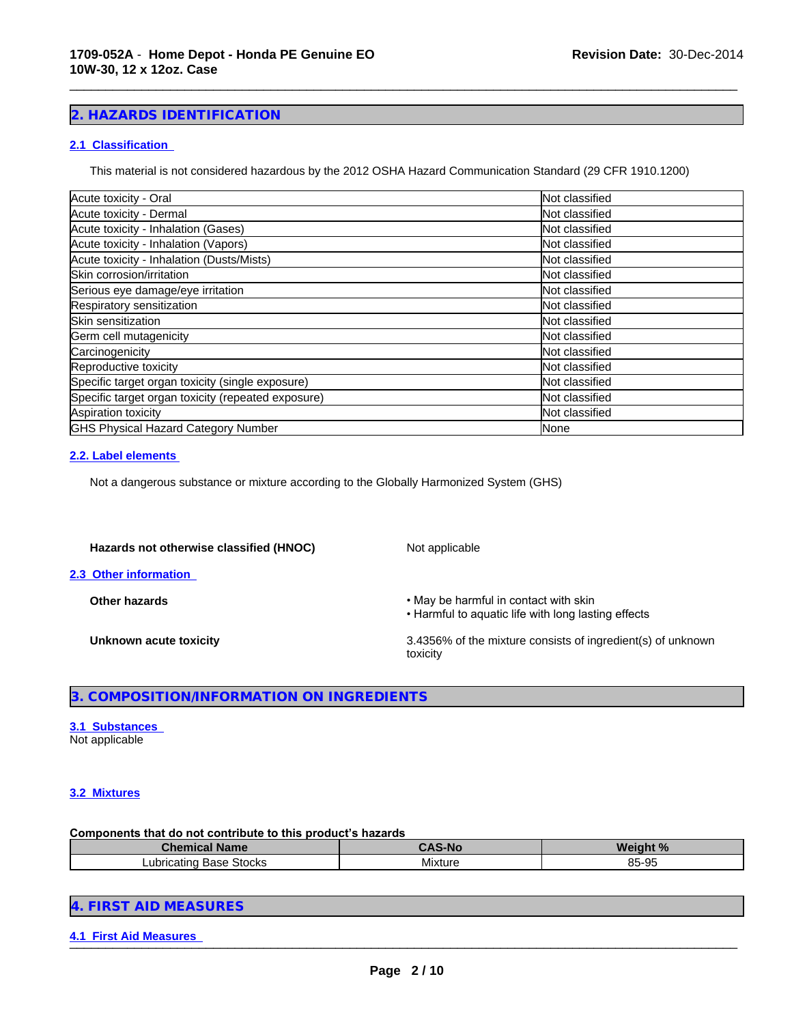# **2. HAZARDS IDENTIFICATION**

#### **2.1 Classification**

This material is not considered hazardous by the 2012 OSHA Hazard Communication Standard (29 CFR 1910.1200)

\_\_\_\_\_\_\_\_\_\_\_\_\_\_\_\_\_\_\_\_\_\_\_\_\_\_\_\_\_\_\_\_\_\_\_\_\_\_\_\_\_\_\_\_\_\_\_\_\_\_\_\_\_\_\_\_\_\_\_\_\_\_\_\_\_\_\_\_\_\_\_\_\_\_\_\_\_\_\_\_\_\_\_\_\_\_\_\_\_\_\_\_\_

| Not classified |
|----------------|
| Not classified |
| Not classified |
| Not classified |
| Not classified |
| Not classified |
| Not classified |
| Not classified |
| Not classified |
| Not classified |
| Not classified |
| Not classified |
| Not classified |
| Not classified |
| Not classified |
| None           |
|                |

#### **2.2. Label elements**

Not a dangerous substance or mixture according to the Globally Harmonized System (GHS)

#### Hazards not otherwise classified (HNOC) Not applicable

**2.3 Other information** 

**Other hazards •May be harmful in contact with skin** 

• Harmful to aquatic life with long lasting effects

**Unknown acute toxicity** 3.4356% of the mixture consists of ingredient(s) of unknown toxicity

#### **3. COMPOSITION/INFORMATION ON INGREDIENTS**

#### **3.1 Substances**  Not applicable

#### **3.2 Mixtures**

#### Components that do not contribute to this product's hazards

| Chemical Name                        | CAS-NC  | .<br>Neiaht %       |
|--------------------------------------|---------|---------------------|
| <b>Stocks</b><br>Base<br>Lubricating | Mixture | $R5-0F$<br>ູບ<br>ັບ |

|  | 4. FIRST AID MEASURES |  |
|--|-----------------------|--|
|--|-----------------------|--|

**4.1 First Aid Measures** \_\_\_\_\_\_\_\_\_\_\_\_\_\_\_\_\_\_\_\_\_\_\_\_\_\_\_\_\_\_\_\_\_\_\_\_\_\_\_\_\_\_\_\_\_\_\_\_\_\_\_\_\_\_\_\_\_\_\_\_\_\_\_\_\_\_\_\_\_\_\_\_\_\_\_\_\_\_\_\_\_\_\_\_\_\_\_\_\_\_\_\_\_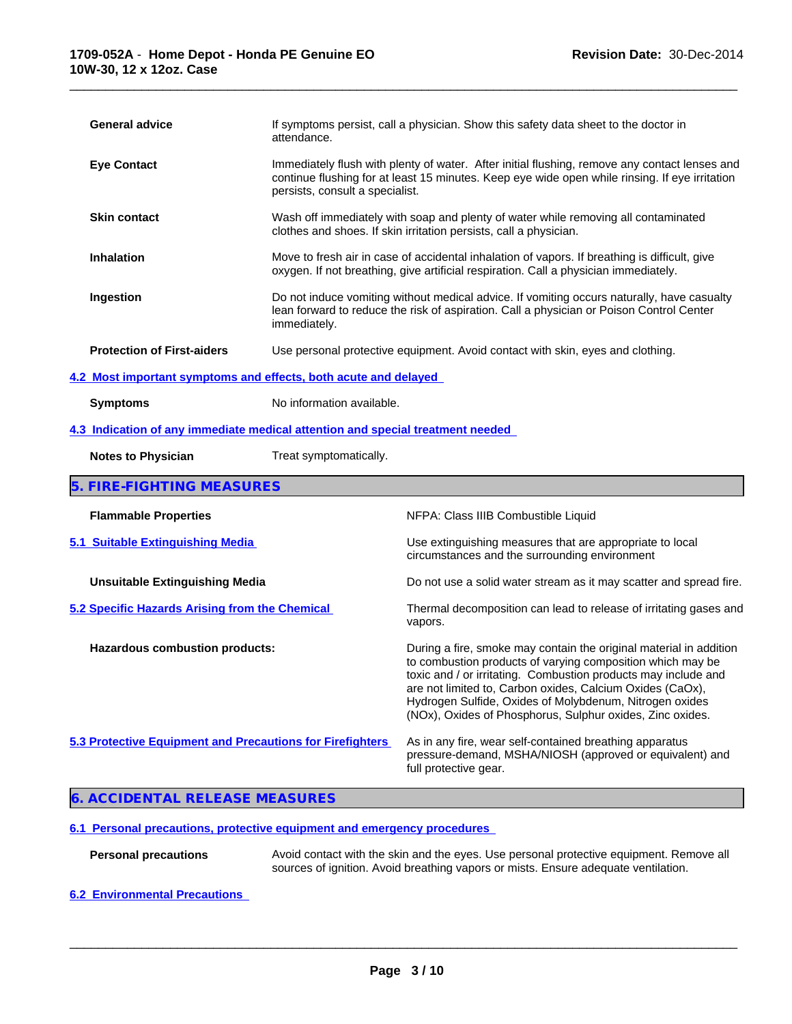| If symptoms persist, call a physician. Show this safety data sheet to the doctor in<br><b>General advice</b><br>attendance.<br><b>Eye Contact</b><br>persists, consult a specialist.<br><b>Skin contact</b><br>clothes and shoes. If skin irritation persists, call a physician.<br><b>Inhalation</b><br>oxygen. If not breathing, give artificial respiration. Call a physician immediately.<br>Ingestion<br>immediately.<br><b>Protection of First-aiders</b><br>Use personal protective equipment. Avoid contact with skin, eyes and clothing.<br>4.2 Most important symptoms and effects, both acute and delayed<br>No information available.<br><b>Symptoms</b><br>4.3 Indication of any immediate medical attention and special treatment needed<br><b>Notes to Physician</b><br>Treat symptomatically.<br>5. FIRE-FIGHTING MEASURES<br><b>Flammable Properties</b><br>NFPA: Class IIIB Combustible Liquid<br>5.1 Suitable Extinguishing Media<br>circumstances and the surrounding environment<br><b>Unsuitable Extinguishing Media</b><br>5.2 Specific Hazards Arising from the Chemical<br>vapors.<br>Hazardous combustion products: |                                                                                                                                                                                                                                                                                                                                                                                         |  |  |
|-----------------------------------------------------------------------------------------------------------------------------------------------------------------------------------------------------------------------------------------------------------------------------------------------------------------------------------------------------------------------------------------------------------------------------------------------------------------------------------------------------------------------------------------------------------------------------------------------------------------------------------------------------------------------------------------------------------------------------------------------------------------------------------------------------------------------------------------------------------------------------------------------------------------------------------------------------------------------------------------------------------------------------------------------------------------------------------------------------------------------------------------------|-----------------------------------------------------------------------------------------------------------------------------------------------------------------------------------------------------------------------------------------------------------------------------------------------------------------------------------------------------------------------------------------|--|--|
|                                                                                                                                                                                                                                                                                                                                                                                                                                                                                                                                                                                                                                                                                                                                                                                                                                                                                                                                                                                                                                                                                                                                               |                                                                                                                                                                                                                                                                                                                                                                                         |  |  |
|                                                                                                                                                                                                                                                                                                                                                                                                                                                                                                                                                                                                                                                                                                                                                                                                                                                                                                                                                                                                                                                                                                                                               | Immediately flush with plenty of water. After initial flushing, remove any contact lenses and<br>continue flushing for at least 15 minutes. Keep eye wide open while rinsing. If eye irritation                                                                                                                                                                                         |  |  |
|                                                                                                                                                                                                                                                                                                                                                                                                                                                                                                                                                                                                                                                                                                                                                                                                                                                                                                                                                                                                                                                                                                                                               | Wash off immediately with soap and plenty of water while removing all contaminated                                                                                                                                                                                                                                                                                                      |  |  |
|                                                                                                                                                                                                                                                                                                                                                                                                                                                                                                                                                                                                                                                                                                                                                                                                                                                                                                                                                                                                                                                                                                                                               | Move to fresh air in case of accidental inhalation of vapors. If breathing is difficult, give                                                                                                                                                                                                                                                                                           |  |  |
|                                                                                                                                                                                                                                                                                                                                                                                                                                                                                                                                                                                                                                                                                                                                                                                                                                                                                                                                                                                                                                                                                                                                               | Do not induce vomiting without medical advice. If vomiting occurs naturally, have casualty<br>lean forward to reduce the risk of aspiration. Call a physician or Poison Control Center                                                                                                                                                                                                  |  |  |
|                                                                                                                                                                                                                                                                                                                                                                                                                                                                                                                                                                                                                                                                                                                                                                                                                                                                                                                                                                                                                                                                                                                                               |                                                                                                                                                                                                                                                                                                                                                                                         |  |  |
|                                                                                                                                                                                                                                                                                                                                                                                                                                                                                                                                                                                                                                                                                                                                                                                                                                                                                                                                                                                                                                                                                                                                               |                                                                                                                                                                                                                                                                                                                                                                                         |  |  |
|                                                                                                                                                                                                                                                                                                                                                                                                                                                                                                                                                                                                                                                                                                                                                                                                                                                                                                                                                                                                                                                                                                                                               |                                                                                                                                                                                                                                                                                                                                                                                         |  |  |
|                                                                                                                                                                                                                                                                                                                                                                                                                                                                                                                                                                                                                                                                                                                                                                                                                                                                                                                                                                                                                                                                                                                                               |                                                                                                                                                                                                                                                                                                                                                                                         |  |  |
|                                                                                                                                                                                                                                                                                                                                                                                                                                                                                                                                                                                                                                                                                                                                                                                                                                                                                                                                                                                                                                                                                                                                               |                                                                                                                                                                                                                                                                                                                                                                                         |  |  |
|                                                                                                                                                                                                                                                                                                                                                                                                                                                                                                                                                                                                                                                                                                                                                                                                                                                                                                                                                                                                                                                                                                                                               |                                                                                                                                                                                                                                                                                                                                                                                         |  |  |
|                                                                                                                                                                                                                                                                                                                                                                                                                                                                                                                                                                                                                                                                                                                                                                                                                                                                                                                                                                                                                                                                                                                                               |                                                                                                                                                                                                                                                                                                                                                                                         |  |  |
|                                                                                                                                                                                                                                                                                                                                                                                                                                                                                                                                                                                                                                                                                                                                                                                                                                                                                                                                                                                                                                                                                                                                               | Use extinguishing measures that are appropriate to local                                                                                                                                                                                                                                                                                                                                |  |  |
|                                                                                                                                                                                                                                                                                                                                                                                                                                                                                                                                                                                                                                                                                                                                                                                                                                                                                                                                                                                                                                                                                                                                               | Do not use a solid water stream as it may scatter and spread fire.                                                                                                                                                                                                                                                                                                                      |  |  |
|                                                                                                                                                                                                                                                                                                                                                                                                                                                                                                                                                                                                                                                                                                                                                                                                                                                                                                                                                                                                                                                                                                                                               | Thermal decomposition can lead to release of irritating gases and                                                                                                                                                                                                                                                                                                                       |  |  |
|                                                                                                                                                                                                                                                                                                                                                                                                                                                                                                                                                                                                                                                                                                                                                                                                                                                                                                                                                                                                                                                                                                                                               | During a fire, smoke may contain the original material in addition<br>to combustion products of varying composition which may be<br>toxic and / or irritating. Combustion products may include and<br>are not limited to, Carbon oxides, Calcium Oxides (CaOx),<br>Hydrogen Sulfide, Oxides of Molybdenum, Nitrogen oxides<br>(NOx), Oxides of Phosphorus, Sulphur oxides, Zinc oxides. |  |  |
| 5.3 Protective Equipment and Precautions for Firefighters<br>full protective gear.                                                                                                                                                                                                                                                                                                                                                                                                                                                                                                                                                                                                                                                                                                                                                                                                                                                                                                                                                                                                                                                            | As in any fire, wear self-contained breathing apparatus<br>pressure-demand, MSHA/NIOSH (approved or equivalent) and                                                                                                                                                                                                                                                                     |  |  |

# **6. ACCIDENTAL RELEASE MEASURES**

# **6.1 Personal precautions, protective equipment and emergency procedures**

- Personal precautions **Avoid contact with the skin and the eyes**. Use personal protective equipment. Remove all sources of ignition. Avoid breathing vapors or mists. Ensure adequate ventilation.
- **6.2 Environmental Precautions**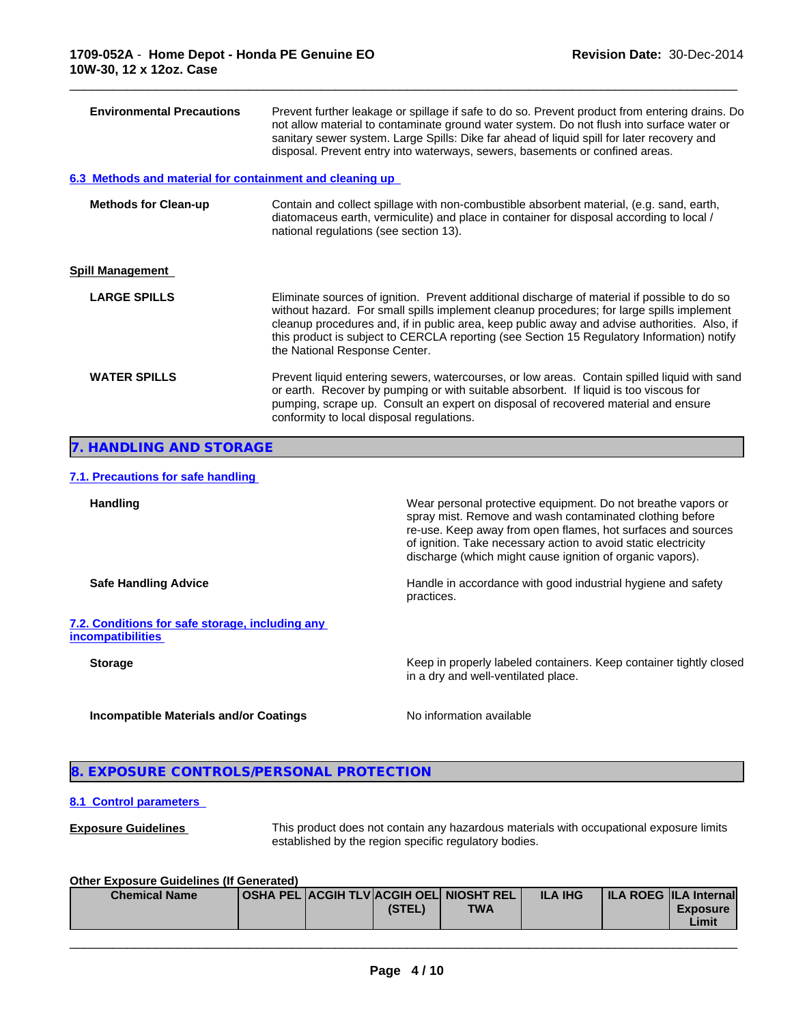| <b>Environmental Precautions</b>                         | Prevent further leakage or spillage if safe to do so. Prevent product from entering drains. Do<br>not allow material to contaminate ground water system. Do not flush into surface water or<br>sanitary sewer system. Large Spills: Dike far ahead of liquid spill for later recovery and<br>disposal. Prevent entry into waterways, sewers, basements or confined areas.                                                |
|----------------------------------------------------------|--------------------------------------------------------------------------------------------------------------------------------------------------------------------------------------------------------------------------------------------------------------------------------------------------------------------------------------------------------------------------------------------------------------------------|
| 6.3 Methods and material for containment and cleaning up |                                                                                                                                                                                                                                                                                                                                                                                                                          |
| <b>Methods for Clean-up</b>                              | Contain and collect spillage with non-combustible absorbent material, (e.g. sand, earth,<br>diatomaceus earth, vermiculite) and place in container for disposal according to local /<br>national regulations (see section 13).                                                                                                                                                                                           |
| <b>Spill Management</b>                                  |                                                                                                                                                                                                                                                                                                                                                                                                                          |
| <b>LARGE SPILLS</b>                                      | Eliminate sources of ignition. Prevent additional discharge of material if possible to do so<br>without hazard. For small spills implement cleanup procedures; for large spills implement<br>cleanup procedures and, if in public area, keep public away and advise authorities. Also, if<br>this product is subject to CERCLA reporting (see Section 15 Regulatory Information) notify<br>the National Response Center. |
| <b>WATER SPILLS</b>                                      | Prevent liquid entering sewers, watercourses, or low areas. Contain spilled liquid with sand<br>or earth. Recover by pumping or with suitable absorbent. If liquid is too viscous for<br>pumping, scrape up. Consult an expert on disposal of recovered material and ensure<br>conformity to local disposal regulations.                                                                                                 |
| 7. HANDLING AND STORAGE                                  |                                                                                                                                                                                                                                                                                                                                                                                                                          |

# **7.1. Precautions for safe handling**

| <b>Handling</b>                                                              | Wear personal protective equipment. Do not breathe vapors or<br>spray mist. Remove and wash contaminated clothing before<br>re-use. Keep away from open flames, hot surfaces and sources<br>of ignition. Take necessary action to avoid static electricity<br>discharge (which might cause ignition of organic vapors). |
|------------------------------------------------------------------------------|-------------------------------------------------------------------------------------------------------------------------------------------------------------------------------------------------------------------------------------------------------------------------------------------------------------------------|
| <b>Safe Handling Advice</b>                                                  | Handle in accordance with good industrial hygiene and safety<br>practices.                                                                                                                                                                                                                                              |
| 7.2. Conditions for safe storage, including any<br><u>incompatibili</u> ties |                                                                                                                                                                                                                                                                                                                         |
| <b>Storage</b>                                                               | Keep in properly labeled containers. Keep container tightly closed<br>in a dry and well-ventilated place.                                                                                                                                                                                                               |
| Incompatible Materials and/or Coatings                                       | No information available                                                                                                                                                                                                                                                                                                |

# **8. EXPOSURE CONTROLS/PERSONAL PROTECTION**

#### **8.1 Control parameters**

**Exposure Guidelines** This product does not contain any hazardous materials with occupational exposure limits established by the region specific regulatory bodies.

 $\overline{\phantom{a}}$  ,  $\overline{\phantom{a}}$  ,  $\overline{\phantom{a}}$  ,  $\overline{\phantom{a}}$  ,  $\overline{\phantom{a}}$  ,  $\overline{\phantom{a}}$  ,  $\overline{\phantom{a}}$  ,  $\overline{\phantom{a}}$  ,  $\overline{\phantom{a}}$  ,  $\overline{\phantom{a}}$  ,  $\overline{\phantom{a}}$  ,  $\overline{\phantom{a}}$  ,  $\overline{\phantom{a}}$  ,  $\overline{\phantom{a}}$  ,  $\overline{\phantom{a}}$  ,  $\overline{\phantom{a}}$ 

#### **Other Exposure Guidelines (If Generated)**

| <b>Chemical Name</b> |  |        | <b>OSHA PEL ACGIH TLVACGIH OELI NIOSHT REL I</b> | <b>ILA IHG</b> | <b>ILA ROEG ILA Internal</b> |  |
|----------------------|--|--------|--------------------------------------------------|----------------|------------------------------|--|
|                      |  | (STEL) | <b>TWA</b>                                       |                | <b>Exposure</b>              |  |
|                      |  |        |                                                  |                | Limit                        |  |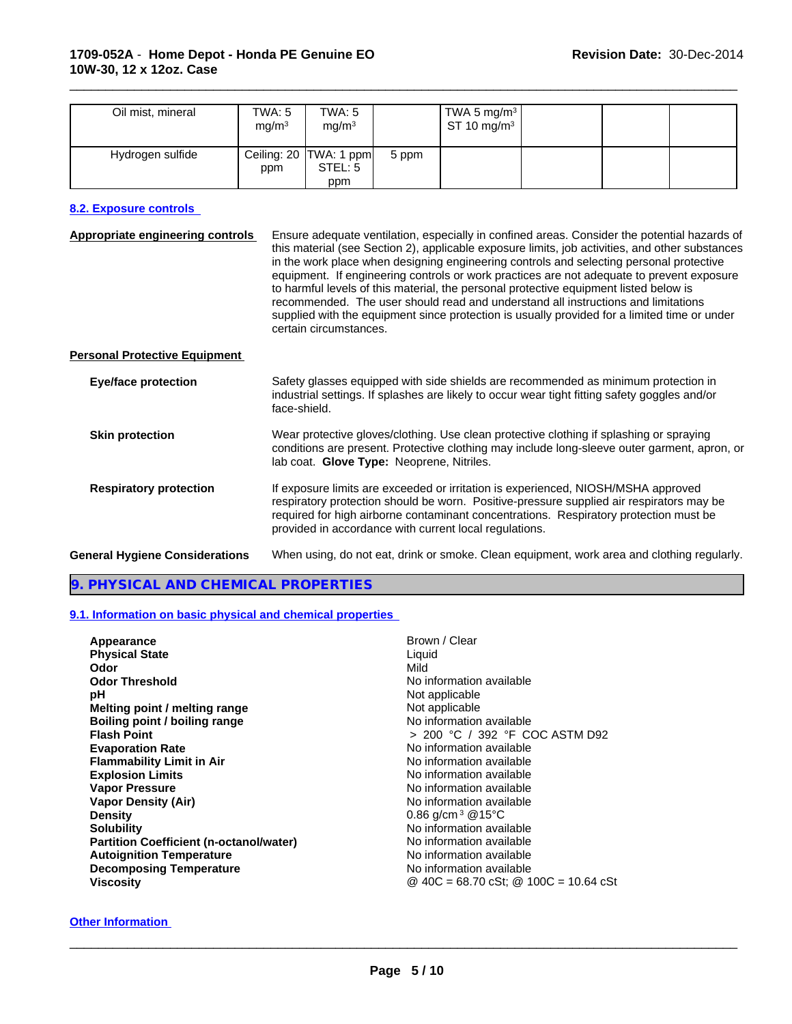| Oil mist, mineral | TWA: 5<br>mg/m <sup>3</sup> | TWA: 5<br>mg/m <sup>3</sup>                |       | TWA 5 mg/m <sup>3</sup> $\vert$<br>ST 10 mg/m $3$ |  |  |
|-------------------|-----------------------------|--------------------------------------------|-------|---------------------------------------------------|--|--|
| Hydrogen sulfide  | ppm                         | Ceiling: 20   TWA: 1 ppm<br>STEL: 5<br>ppm | 5 ppm |                                                   |  |  |

### **8.2. Exposure controls**

| <b>Appropriate engineering controls</b> | Ensure adequate ventilation, especially in confined areas. Consider the potential hazards of<br>this material (see Section 2), applicable exposure limits, job activities, and other substances<br>in the work place when designing engineering controls and selecting personal protective<br>equipment. If engineering controls or work practices are not adequate to prevent exposure<br>to harmful levels of this material, the personal protective equipment listed below is<br>recommended. The user should read and understand all instructions and limitations<br>supplied with the equipment since protection is usually provided for a limited time or under<br>certain circumstances. |
|-----------------------------------------|-------------------------------------------------------------------------------------------------------------------------------------------------------------------------------------------------------------------------------------------------------------------------------------------------------------------------------------------------------------------------------------------------------------------------------------------------------------------------------------------------------------------------------------------------------------------------------------------------------------------------------------------------------------------------------------------------|
| <b>Personal Protective Equipment</b>    |                                                                                                                                                                                                                                                                                                                                                                                                                                                                                                                                                                                                                                                                                                 |
| <b>Eye/face protection</b>              | Safety glasses equipped with side shields are recommended as minimum protection in<br>industrial settings. If splashes are likely to occur wear tight fitting safety goggles and/or<br>face-shield.                                                                                                                                                                                                                                                                                                                                                                                                                                                                                             |
| <b>Skin protection</b>                  | Wear protective gloves/clothing. Use clean protective clothing if splashing or spraying<br>conditions are present. Protective clothing may include long-sleeve outer garment, apron, or<br>lab coat. Glove Type: Neoprene, Nitriles.                                                                                                                                                                                                                                                                                                                                                                                                                                                            |
| <b>Respiratory protection</b>           | If exposure limits are exceeded or irritation is experienced, NIOSH/MSHA approved<br>respiratory protection should be worn. Positive-pressure supplied air respirators may be<br>required for high airborne contaminant concentrations. Respiratory protection must be<br>provided in accordance with current local regulations.                                                                                                                                                                                                                                                                                                                                                                |
| <b>General Hygiene Considerations</b>   | When using, do not eat, drink or smoke. Clean equipment, work area and clothing regularly.                                                                                                                                                                                                                                                                                                                                                                                                                                                                                                                                                                                                      |

#### **9. PHYSICAL AND CHEMICAL PROPERTIES**

#### **9.1. Information on basic physical and chemical properties**

| Appearance                                     | Brown / Clear                             |
|------------------------------------------------|-------------------------------------------|
| <b>Physical State</b>                          | Liquid                                    |
| Odor                                           | Mild                                      |
| <b>Odor Threshold</b>                          | No information available                  |
| рH                                             | Not applicable                            |
| Melting point / melting range                  | Not applicable                            |
| Boiling point / boiling range                  | No information available                  |
| <b>Flash Point</b>                             | > 200 °C / 392 °F COC ASTM D92            |
| <b>Evaporation Rate</b>                        | No information available                  |
| <b>Flammability Limit in Air</b>               | No information available                  |
| <b>Explosion Limits</b>                        | No information available                  |
| <b>Vapor Pressure</b>                          | No information available                  |
| <b>Vapor Density (Air)</b>                     | No information available                  |
| <b>Density</b>                                 | 0.86 $q/cm^3$ @15°C                       |
| <b>Solubility</b>                              | No information available                  |
| <b>Partition Coefficient (n-octanol/water)</b> | No information available                  |
| <b>Autoignition Temperature</b>                | No information available                  |
| <b>Decomposing Temperature</b>                 | No information available                  |
| Viscosity                                      | @ $40C = 68.70$ cSt; @ $100C = 10.64$ cSt |
|                                                |                                           |

#### **Other Information**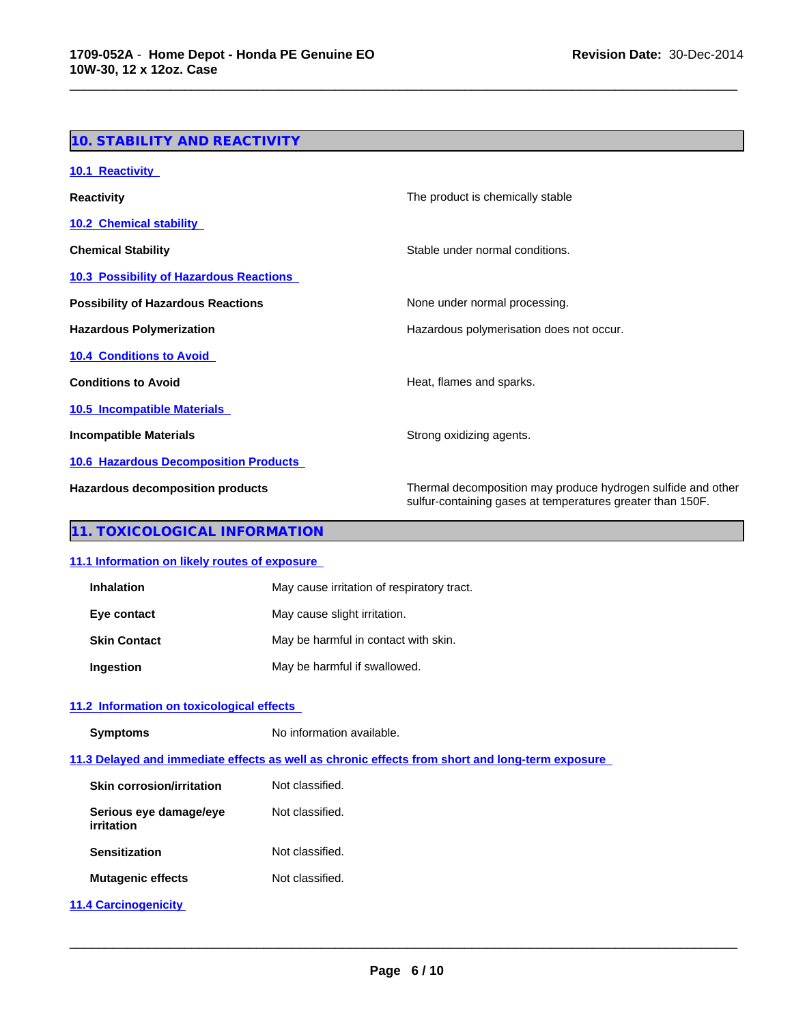# **10. STABILITY AND REACTIVITY**

| 10.1 Reactivity                                |                                                                                                                            |
|------------------------------------------------|----------------------------------------------------------------------------------------------------------------------------|
| <b>Reactivity</b>                              | The product is chemically stable                                                                                           |
| <b>10.2 Chemical stability</b>                 |                                                                                                                            |
| <b>Chemical Stability</b>                      | Stable under normal conditions.                                                                                            |
| <b>10.3 Possibility of Hazardous Reactions</b> |                                                                                                                            |
| <b>Possibility of Hazardous Reactions</b>      | None under normal processing.                                                                                              |
| <b>Hazardous Polymerization</b>                | Hazardous polymerisation does not occur.                                                                                   |
| <b>10.4 Conditions to Avoid</b>                |                                                                                                                            |
| <b>Conditions to Avoid</b>                     | Heat, flames and sparks.                                                                                                   |
| <b>10.5 Incompatible Materials</b>             |                                                                                                                            |
| <b>Incompatible Materials</b>                  | Strong oxidizing agents.                                                                                                   |
| <b>10.6 Hazardous Decomposition Products</b>   |                                                                                                                            |
| <b>Hazardous decomposition products</b>        | Thermal decomposition may produce hydrogen sulfide and other<br>sulfur-containing gases at temperatures greater than 150F. |

\_\_\_\_\_\_\_\_\_\_\_\_\_\_\_\_\_\_\_\_\_\_\_\_\_\_\_\_\_\_\_\_\_\_\_\_\_\_\_\_\_\_\_\_\_\_\_\_\_\_\_\_\_\_\_\_\_\_\_\_\_\_\_\_\_\_\_\_\_\_\_\_\_\_\_\_\_\_\_\_\_\_\_\_\_\_\_\_\_\_\_\_\_

# **11. TOXICOLOGICAL INFORMATION**

#### **11.1 Information on likely routes of exposure**

| <b>Inhalation</b>   | May cause irritation of respiratory tract. |
|---------------------|--------------------------------------------|
| Eye contact         | May cause slight irritation.               |
| <b>Skin Contact</b> | May be harmful in contact with skin.       |
| Ingestion           | May be harmful if swallowed.               |

# **11.2 Information on toxicological effects**

**Symptoms** No information available.

**11.3 Delayed and immediate effects as well as chronic effects from short and long-term exposure** 

| Skin corrosion/irritation            | Not classified. |
|--------------------------------------|-----------------|
| Serious eye damage/eye<br>irritation | Not classified. |
| <b>Sensitization</b>                 | Not classified. |
| <b>Mutagenic effects</b>             | Not classified. |
|                                      |                 |

**11.4 Carcinogenicity**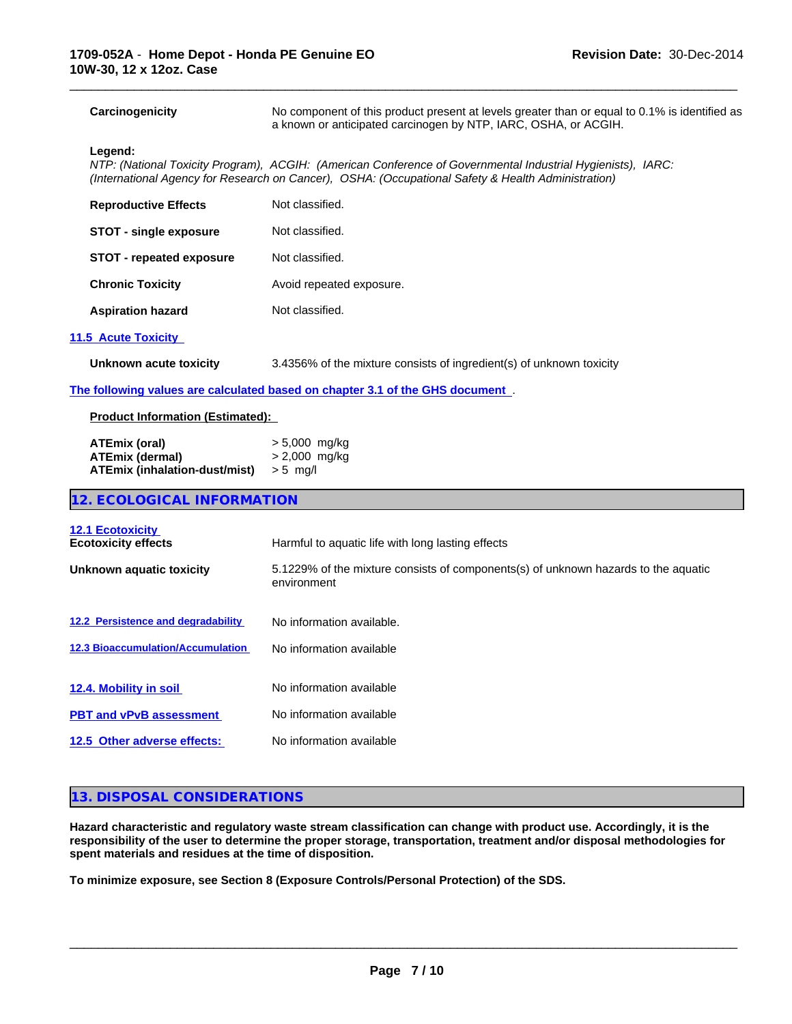**Carcinogenicity** No component of this product present at levels greater than or equal to 0.1% is identified as a known or anticipated carcinogen by NTP, IARC, OSHA, or ACGIH.

\_\_\_\_\_\_\_\_\_\_\_\_\_\_\_\_\_\_\_\_\_\_\_\_\_\_\_\_\_\_\_\_\_\_\_\_\_\_\_\_\_\_\_\_\_\_\_\_\_\_\_\_\_\_\_\_\_\_\_\_\_\_\_\_\_\_\_\_\_\_\_\_\_\_\_\_\_\_\_\_\_\_\_\_\_\_\_\_\_\_\_\_\_

#### **Legend:**

*NTP: (National Toxicity Program), ACGIH: (American Conference of Governmental Industrial Hygienists), IARC: (International Agency for Research on Cancer), OSHA: (Occupational Safety & Health Administration)*

| <b>Reproductive Effects</b>     | Not classified.          |
|---------------------------------|--------------------------|
| <b>STOT - single exposure</b>   | Not classified.          |
| <b>STOT - repeated exposure</b> | Not classified.          |
| <b>Chronic Toxicity</b>         | Avoid repeated exposure. |
| <b>Aspiration hazard</b>        | Not classified.          |
|                                 |                          |

#### **11.5 Acute Toxicity**

**Unknown acute toxicity** 3.4356% of the mixture consists of ingredient(s) of unknown toxicity

**The following values are calculated based on chapter 3.1 of the GHS document** .

#### **Product Information (Estimated):**

| ATEmix (oral)                 | > 5,000 mg/kg |
|-------------------------------|---------------|
| <b>ATEmix (dermal)</b>        | > 2,000 mg/kg |
| ATEmix (inhalation-dust/mist) | > 5 ma/l      |

# **12. ECOLOGICAL INFORMATION**

| <b>12.1 Ecotoxicity</b><br><b>Ecotoxicity effects</b> | Harmful to aquatic life with long lasting effects                                                 |
|-------------------------------------------------------|---------------------------------------------------------------------------------------------------|
| Unknown aquatic toxicity                              | 5.1229% of the mixture consists of components(s) of unknown hazards to the aquatic<br>environment |
| 12.2 Persistence and degradability                    | No information available.                                                                         |
| <b>12.3 Bioaccumulation/Accumulation</b>              | No information available                                                                          |
| 12.4. Mobility in soil                                | No information available                                                                          |
| <b>PBT and vPvB assessment</b>                        | No information available                                                                          |
| 12.5 Other adverse effects:                           | No information available                                                                          |
|                                                       |                                                                                                   |

# **13. DISPOSAL CONSIDERATIONS**

**Hazard characteristic and regulatory waste stream classification can change with product use. Accordingly, it is the responsibility of the user to determine the proper storage, transportation, treatment and/or disposal methodologies for spent materials and residues at the time of disposition.**

**To minimize exposure, see Section 8 (Exposure Controls/Personal Protection) of the SDS.**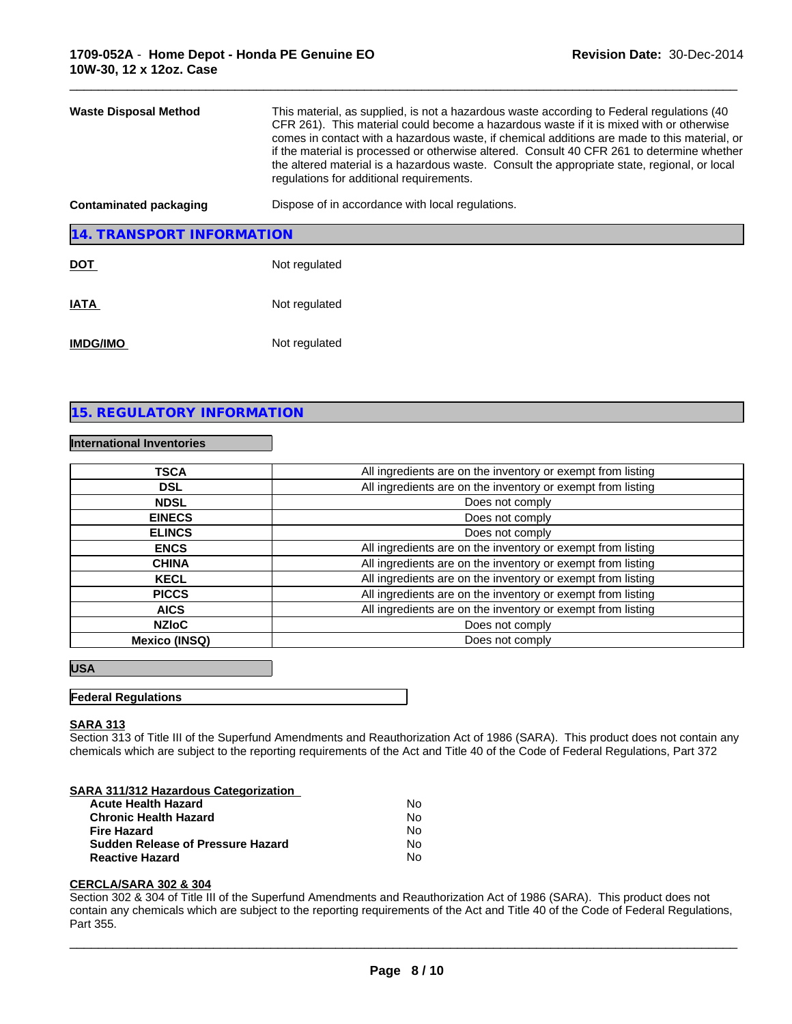| <b>Waste Disposal Method</b>  | This material, as supplied, is not a hazardous waste according to Federal regulations (40<br>CFR 261). This material could become a hazardous waste if it is mixed with or otherwise<br>comes in contact with a hazardous waste, if chemical additions are made to this material, or<br>if the material is processed or otherwise altered. Consult 40 CFR 261 to determine whether<br>the altered material is a hazardous waste. Consult the appropriate state, regional, or local<br>regulations for additional requirements. |
|-------------------------------|--------------------------------------------------------------------------------------------------------------------------------------------------------------------------------------------------------------------------------------------------------------------------------------------------------------------------------------------------------------------------------------------------------------------------------------------------------------------------------------------------------------------------------|
| <b>Contaminated packaging</b> | Dispose of in accordance with local regulations.                                                                                                                                                                                                                                                                                                                                                                                                                                                                               |
| 14. TRANSPORT INFORMATION     |                                                                                                                                                                                                                                                                                                                                                                                                                                                                                                                                |
| <b>DOT</b>                    | Not regulated                                                                                                                                                                                                                                                                                                                                                                                                                                                                                                                  |
| <b>IATA</b>                   | Not regulated                                                                                                                                                                                                                                                                                                                                                                                                                                                                                                                  |
| <b>IMDG/IMO</b>               | Not regulated                                                                                                                                                                                                                                                                                                                                                                                                                                                                                                                  |

# **15. REGULATORY INFORMATION**

### **International Inventories**

| <b>TSCA</b>   | All ingredients are on the inventory or exempt from listing |
|---------------|-------------------------------------------------------------|
| <b>DSL</b>    | All ingredients are on the inventory or exempt from listing |
| <b>NDSL</b>   | Does not comply                                             |
| <b>EINECS</b> | Does not comply                                             |
| <b>ELINCS</b> | Does not comply                                             |
| <b>ENCS</b>   | All ingredients are on the inventory or exempt from listing |
| <b>CHINA</b>  | All ingredients are on the inventory or exempt from listing |
| <b>KECL</b>   | All ingredients are on the inventory or exempt from listing |
| <b>PICCS</b>  | All ingredients are on the inventory or exempt from listing |
| <b>AICS</b>   | All ingredients are on the inventory or exempt from listing |
| <b>NZIoC</b>  | Does not comply                                             |
| Mexico (INSQ) | Does not comply                                             |

#### **USA**

#### **Federal Regulations**

#### **SARA 313**

Section 313 of Title III of the Superfund Amendments and Reauthorization Act of 1986 (SARA). This product does not contain any chemicals which are subject to the reporting requirements of the Act and Title 40 of the Code of Federal Regulations, Part 372

#### **SARA 311/312 Hazardous Categorization**

| <b>Acute Health Hazard</b>        | No |  |
|-----------------------------------|----|--|
| <b>Chronic Health Hazard</b>      | N٥ |  |
| <b>Fire Hazard</b>                | N٥ |  |
| Sudden Release of Pressure Hazard | N٥ |  |
| <b>Reactive Hazard</b>            | N٥ |  |

# **CERCLA/SARA 302 & 304**

Section 302 & 304 of Title III of the Superfund Amendments and Reauthorization Act of 1986 (SARA). This product does not contain any chemicals which are subject to the reporting requirements of the Act and Title 40 of the Code of Federal Regulations, Part 355.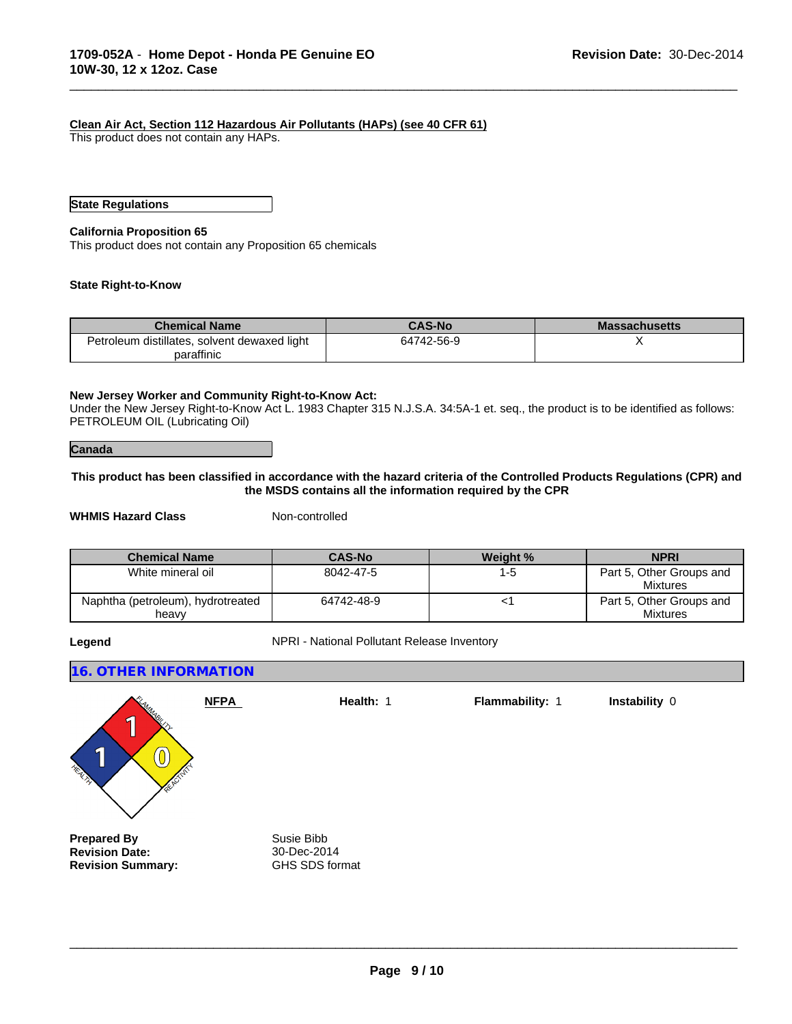#### **Clean Air Act, Section 112 Hazardous Air Pollutants (HAPs) (see 40 CFR 61)**

This product does not contain any HAPs.

#### **State Regulations**

#### **California Proposition 65**

This product does not contain any Proposition 65 chemicals

#### **State Right-to-Know**

| <b>Chemical Name</b>                         | <b>CAS-No</b> | <b>Massachusetts</b> |
|----------------------------------------------|---------------|----------------------|
| Petroleum distillates, solvent dewaxed light | 64742-56-9    |                      |
| paraffinic                                   |               |                      |

\_\_\_\_\_\_\_\_\_\_\_\_\_\_\_\_\_\_\_\_\_\_\_\_\_\_\_\_\_\_\_\_\_\_\_\_\_\_\_\_\_\_\_\_\_\_\_\_\_\_\_\_\_\_\_\_\_\_\_\_\_\_\_\_\_\_\_\_\_\_\_\_\_\_\_\_\_\_\_\_\_\_\_\_\_\_\_\_\_\_\_\_\_

#### **New Jersey Worker and Community Right-to-Know Act:**

Under the New Jersey Right-to-Know Act L. 1983 Chapter 315 N.J.S.A. 34:5A-1 et. seq., the product is to be identified as follows: PETROLEUM OIL (Lubricating Oil)

#### **Canada**

#### **This product has been classified in accordance with the hazard criteria of the Controlled Products Regulations (CPR) and the MSDS contains all the information required by the CPR**

**WHMIS Hazard Class** Non-controlled

| <b>Chemical Name</b>                       | <b>CAS-No</b> | <b>Weight %</b> | <b>NPRI</b>                                 |
|--------------------------------------------|---------------|-----------------|---------------------------------------------|
| White mineral oil                          | 8042-47-5     | 1-5             | Part 5, Other Groups and<br><b>Mixtures</b> |
| Naphtha (petroleum), hydrotreated<br>heavv | 64742-48-9    |                 | Part 5, Other Groups and<br><b>Mixtures</b> |

**Legend NPRI - National Pollutant Release Inventory** 

#### **16. OTHER INFORMATION**



**Prepared By**<br> **Revision Date:**<br> **Revision Date:**<br> **SUPPERENT ASSEM Revision Date:** 30-Dec-2014<br> **Revision Summary:** GHS SDS format **Revision Summary:** 

 $\overline{\phantom{a}}$  ,  $\overline{\phantom{a}}$  ,  $\overline{\phantom{a}}$  ,  $\overline{\phantom{a}}$  ,  $\overline{\phantom{a}}$  ,  $\overline{\phantom{a}}$  ,  $\overline{\phantom{a}}$  ,  $\overline{\phantom{a}}$  ,  $\overline{\phantom{a}}$  ,  $\overline{\phantom{a}}$  ,  $\overline{\phantom{a}}$  ,  $\overline{\phantom{a}}$  ,  $\overline{\phantom{a}}$  ,  $\overline{\phantom{a}}$  ,  $\overline{\phantom{a}}$  ,  $\overline{\phantom{a}}$ 

**Flammability:** 1 **Instability** 0